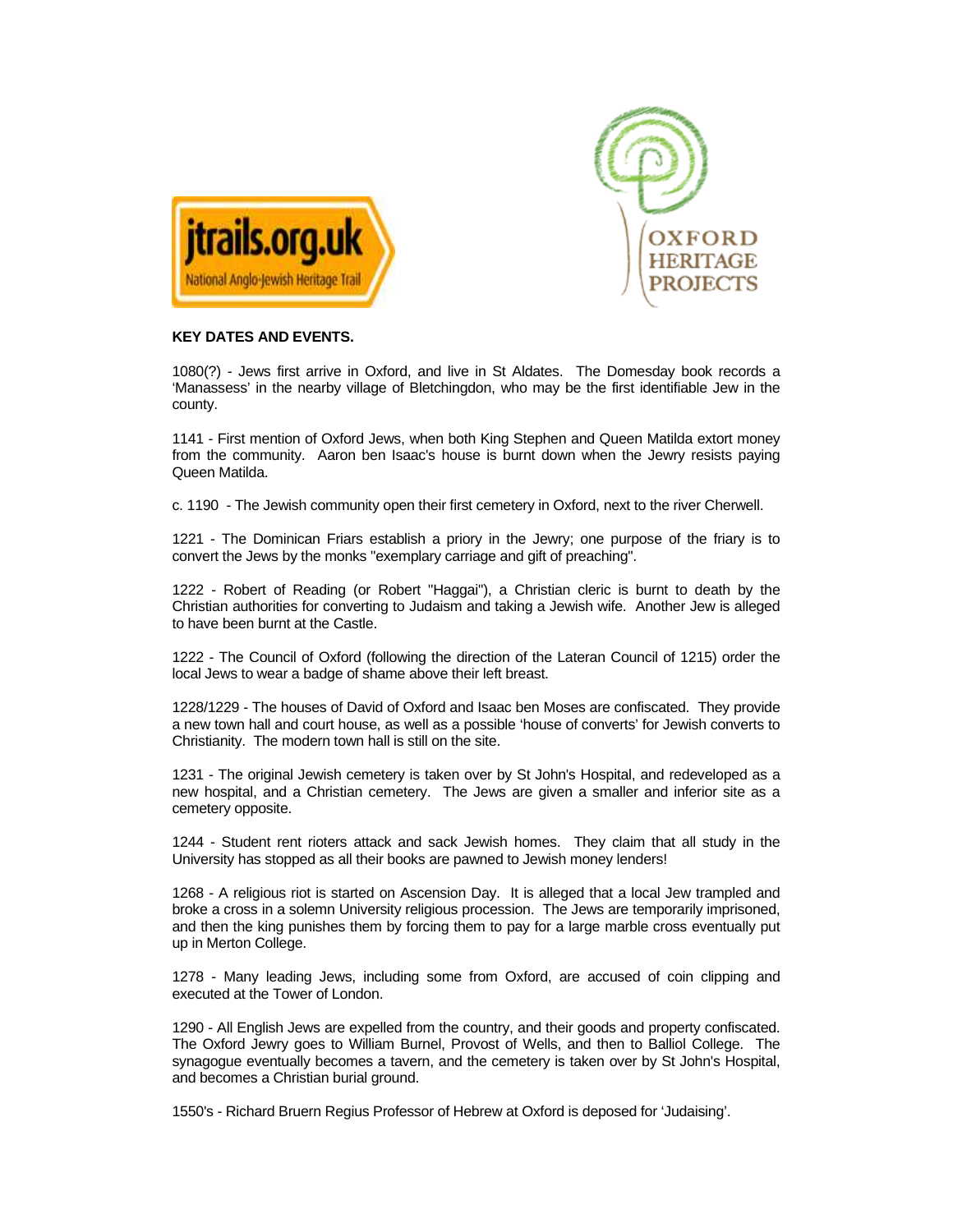



## **KEY DATES AND EVENTS.**

1080(?) - Jews first arrive in Oxford, and live in St Aldates. The Domesday book records a 'Manassess' in the nearby village of Bletchingdon, who may be the first identifiable Jew in the county.

1141 - First mention of Oxford Jews, when both King Stephen and Queen Matilda extort money from the community. Aaron ben Isaac's house is burnt down when the Jewry resists paying Queen Matilda.

c. 1190 - The Jewish community open their first cemetery in Oxford, next to the river Cherwell.

1221 - The Dominican Friars establish a priory in the Jewry; one purpose of the friary is to convert the Jews by the monks "exemplary carriage and gift of preaching".

1222 - Robert of Reading (or Robert "Haggai"), a Christian cleric is burnt to death by the Christian authorities for converting to Judaism and taking a Jewish wife. Another Jew is alleged to have been burnt at the Castle.

1222 - The Council of Oxford (following the direction of the Lateran Council of 1215) order the local Jews to wear a badge of shame above their left breast.

1228/1229 - The houses of David of Oxford and Isaac ben Moses are confiscated. They provide a new town hall and court house, as well as a possible 'house of converts' for Jewish converts to Christianity. The modern town hall is still on the site.

1231 - The original Jewish cemetery is taken over by St John's Hospital, and redeveloped as a new hospital, and a Christian cemetery. The Jews are given a smaller and inferior site as a cemetery opposite.

1244 - Student rent rioters attack and sack Jewish homes. They claim that all study in the University has stopped as all their books are pawned to Jewish money lenders!

1268 - A religious riot is started on Ascension Day. It is alleged that a local Jew trampled and broke a cross in a solemn University religious procession. The Jews are temporarily imprisoned, and then the king punishes them by forcing them to pay for a large marble cross eventually put up in Merton College.

1278 - Many leading Jews, including some from Oxford, are accused of coin clipping and executed at the Tower of London.

1290 - All English Jews are expelled from the country, and their goods and property confiscated. The Oxford Jewry goes to William Burnel, Provost of Wells, and then to Balliol College. The synagogue eventually becomes a tavern, and the cemetery is taken over by St John's Hospital, and becomes a Christian burial ground.

1550's - Richard Bruern Regius Professor of Hebrew at Oxford is deposed for 'Judaising'.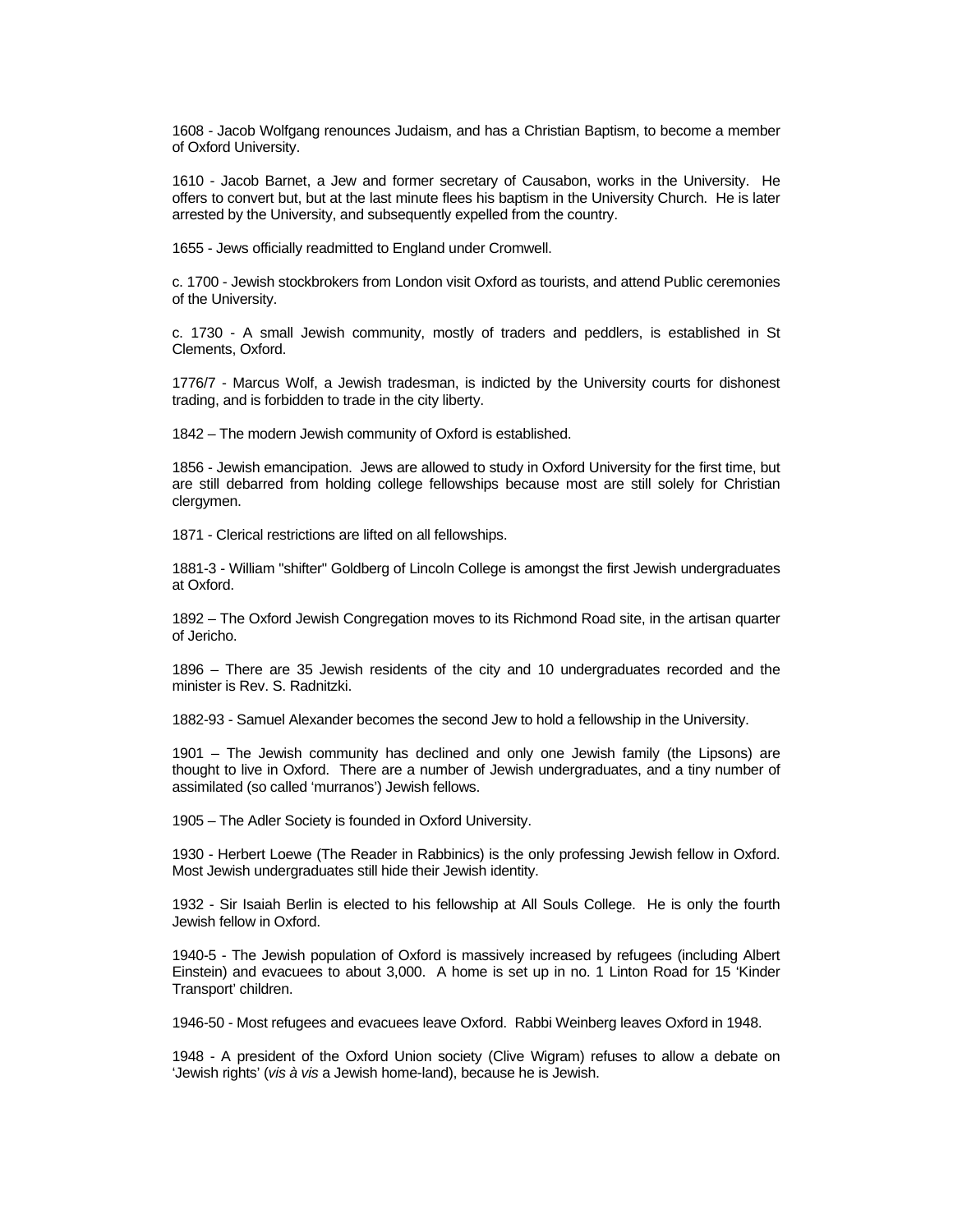1608 - Jacob Wolfgang renounces Judaism, and has a Christian Baptism, to become a member of Oxford University.

1610 - Jacob Barnet, a Jew and former secretary of Causabon, works in the University. He offers to convert but, but at the last minute flees his baptism in the University Church. He is later arrested by the University, and subsequently expelled from the country.

1655 - Jews officially readmitted to England under Cromwell.

c. 1700 - Jewish stockbrokers from London visit Oxford as tourists, and attend Public ceremonies of the University.

c. 1730 - A small Jewish community, mostly of traders and peddlers, is established in St Clements, Oxford.

1776/7 - Marcus Wolf, a Jewish tradesman, is indicted by the University courts for dishonest trading, and is forbidden to trade in the city liberty.

1842 – The modern Jewish community of Oxford is established.

1856 - Jewish emancipation. Jews are allowed to study in Oxford University for the first time, but are still debarred from holding college fellowships because most are still solely for Christian clergymen.

1871 - Clerical restrictions are lifted on all fellowships.

1881-3 - William "shifter" Goldberg of Lincoln College is amongst the first Jewish undergraduates at Oxford.

1892 – The Oxford Jewish Congregation moves to its Richmond Road site, in the artisan quarter of Jericho.

1896 – There are 35 Jewish residents of the city and 10 undergraduates recorded and the minister is Rev. S. Radnitzki.

1882-93 - Samuel Alexander becomes the second Jew to hold a fellowship in the University.

1901 – The Jewish community has declined and only one Jewish family (the Lipsons) are thought to live in Oxford. There are a number of Jewish undergraduates, and a tiny number of assimilated (so called 'murranos') Jewish fellows.

1905 – The Adler Society is founded in Oxford University.

1930 - Herbert Loewe (The Reader in Rabbinics) is the only professing Jewish fellow in Oxford. Most Jewish undergraduates still hide their Jewish identity.

1932 - Sir Isaiah Berlin is elected to his fellowship at All Souls College. He is only the fourth Jewish fellow in Oxford.

1940-5 - The Jewish population of Oxford is massively increased by refugees (including Albert Einstein) and evacuees to about 3,000. A home is set up in no. 1 Linton Road for 15 'Kinder Transport' children.

1946-50 - Most refugees and evacuees leave Oxford. Rabbi Weinberg leaves Oxford in 1948.

1948 - A president of the Oxford Union society (Clive Wigram) refuses to allow a debate on 'Jewish rights' (vis à vis a Jewish home-land), because he is Jewish.